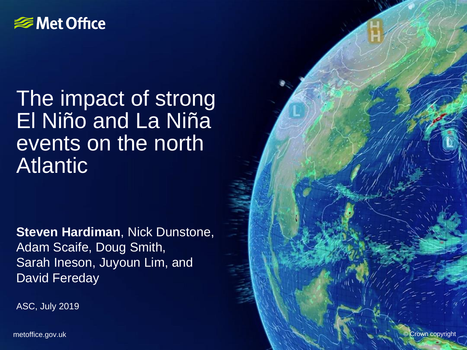#### **SIGNET Office**

### The impact of strong El Niño and La Niña events on the north Atlantic

**Steven Hardiman**, Nick Dunstone, Adam Scaife, Doug Smith, Sarah Ineson, Juyoun Lim, and David Fereday

ASC, July 2019

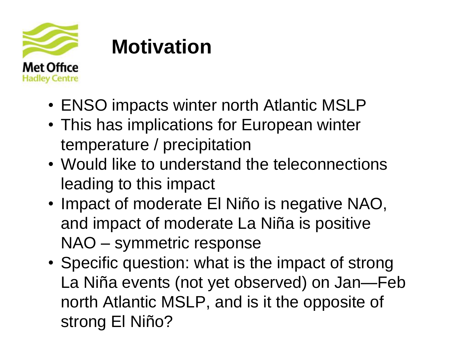

## **Motivation**

- ENSO impacts winter north Atlantic MSLP
- This has implications for European winter temperature / precipitation
- Would like to understand the teleconnections leading to this impact
- Impact of moderate El Niño is negative NAO, and impact of moderate La Niña is positive NAO – symmetric response
- Specific question: what is the impact of strong La Niña events (not yet observed) on Jan—Feb north Atlantic MSLP, and is it the opposite of strong El Niño?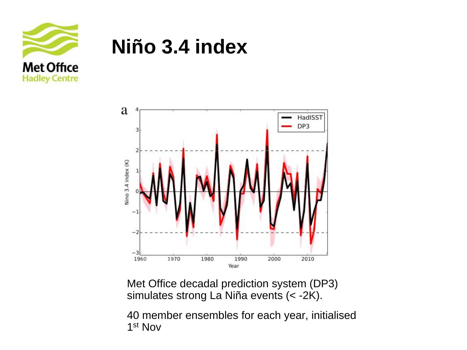

### **Niño 3.4 index**



Met Office decadal prediction system (DP3) simulates strong La Niña events (< -2K).

40 member ensembles for each year, initialised 1 st Nov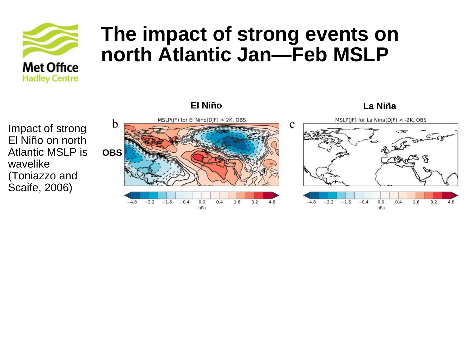

**El Niño La Niña**



Impact of strong El Niño on north Atlantic MSLP is wavelike (Toniazzo and Scaife, 2006)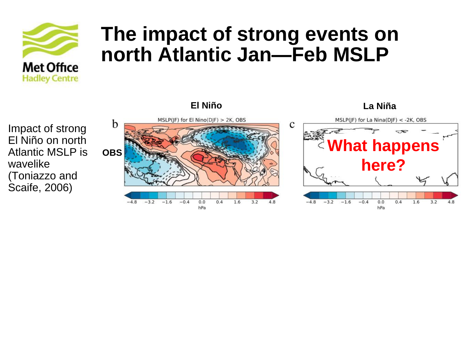

Impact of strong El Niño on north Atlantic MSLP is wavelike (Toniazzo and Scaife, 2006)

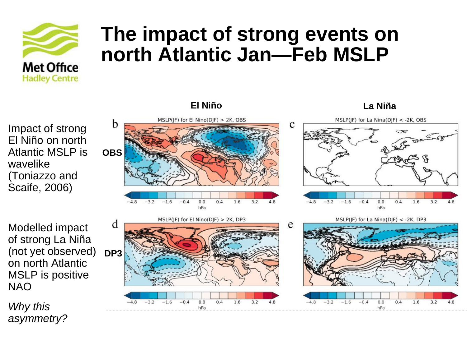

Impact of strong El Niño on north Atlantic MSLP is wavelike (Toniazzo and Scaife, 2006)

Modelled impact of strong La Niña (not yet observed) on north Atlantic MSLP is positive NAO

*Why this asymmetry?*



 $0.0$ 

hPa

 $0.4$ 

1.6

 $3.2$ 

4.8

 $-0.4$ 

 $-48$ 

 $-3.2$ 

 $-1.6$ 

**El Niño La Niña**



4<sup>8</sup>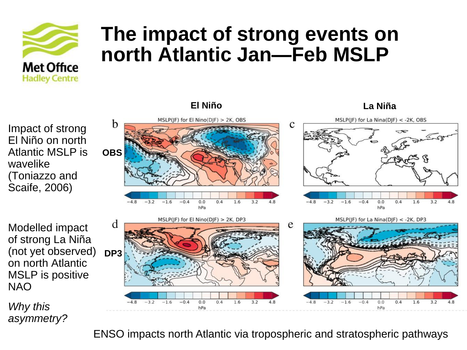

MSLP(JF) for El Nino(DJF) > 2K, OBS

Impact of strong El Niño on north Atlantic MSLP is wavelike (Toniazzo and Scaife, 2006)

b  $\mathbf{C}$ **OBS**  $0.4$  $-3.2$  $-1.6$  $-0.4$  $0.0$ 1.6 3.2  $-3.2$  $-1.6$  $-0.4$  $0.0$  $0.4$ 1.6 3.2 hPa hPa MSLP(JF) for El Nino(DJF) > 2K, DP3 MSLP(JF) for La Nina(DJF) < -2K, DP3 d e **DP3**  $-0.4$  $0.0$  $0.4$ 1.6  $3.2$  $-0.4$  $0.0$  $0.4$ 1.6  $3.2$  $-3.2$  $-1.6$ hPa hPa

**El Niño La Niña**

MSLP(JF) for La Nina(DJF) < - 2K, OBS

Modelled impact of strong La Niña (not yet observed) on north Atlantic MSLP is positive NAO

*Why this asymmetry?*

ENSO impacts north Atlantic via tropospheric and stratospheric pathways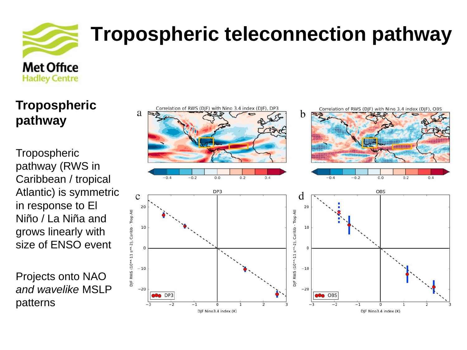

# **Tropospheric teleconnection pathway**

**Tropospheric pathway**

**Tropospheric** pathway (RWS in Caribbean / tropical Atlantic) is symmetric in response to El Niño / La Niña and grows linearly with size of ENSO event

Projects onto NAO *and wavelike* MSLP patterns

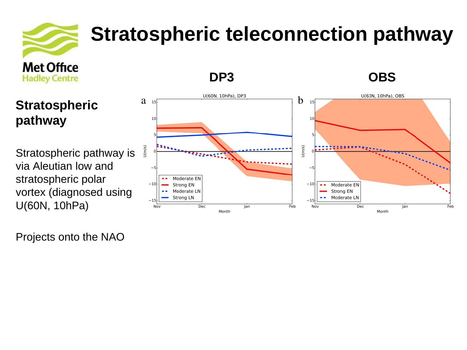

# **Stratospheric teleconnection pathway**

#### **Stratospheric pathway**

Stratospheric pathway is via Aleutian low and stratospheric polar vortex (diagnosed using U(60N, 10hPa)

Projects onto the NAO



**DP3 OBS**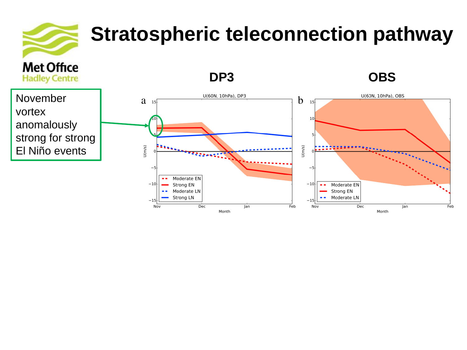# **Met Office**

## **Stratospheric teleconnection pathway**

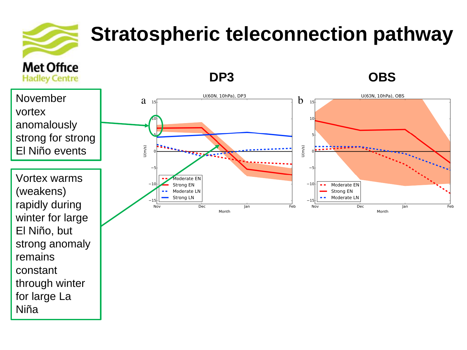# **Met Office**

El Niño, but

remains

constant

Niña

strong anomaly

through winter

for large La

# **Stratospheric teleconnection pathway**

**DP3 OBS Hadley Centre** November U(60N, 10hPa), DP3 U(60N, 10hPa), OBS b  $a_{15}$ 15 vortex 10 anomalously strong for strong  $J(m/s)$  $U(m/s)$ El Niño events Vortex warms **Moderate EN**  $^{-10}$ Strong EN  $-10$ Moderate EN  $\sim$   $\sim$ (weakens) Moderate LN Strong EN Strong LN Moderate LN  $-15$ rapidly during Dec Nov Jan Feb Nov Dec Jan Feb Month Month winter for large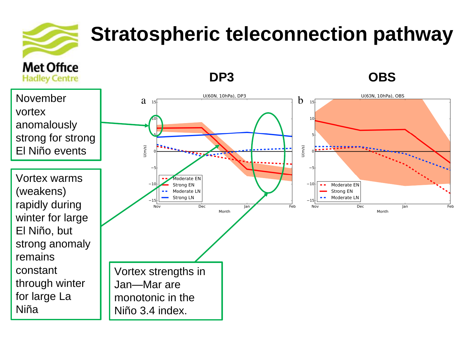

# **Stratospheric teleconnection pathway**

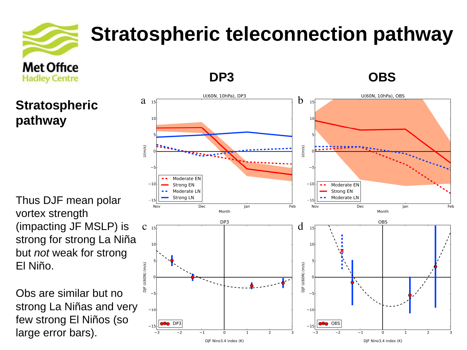

**Stratospheric** 

**pathway**

# **Stratospheric teleconnection pathway**

Thus DJF mean polar vortex strength (impacting JF MSLP) is strong for strong La Niña but *not* weak for strong El Niño.

Obs are similar but no strong La Niñas and very few strong El Niños (so large error bars).



**DP3 OBS**